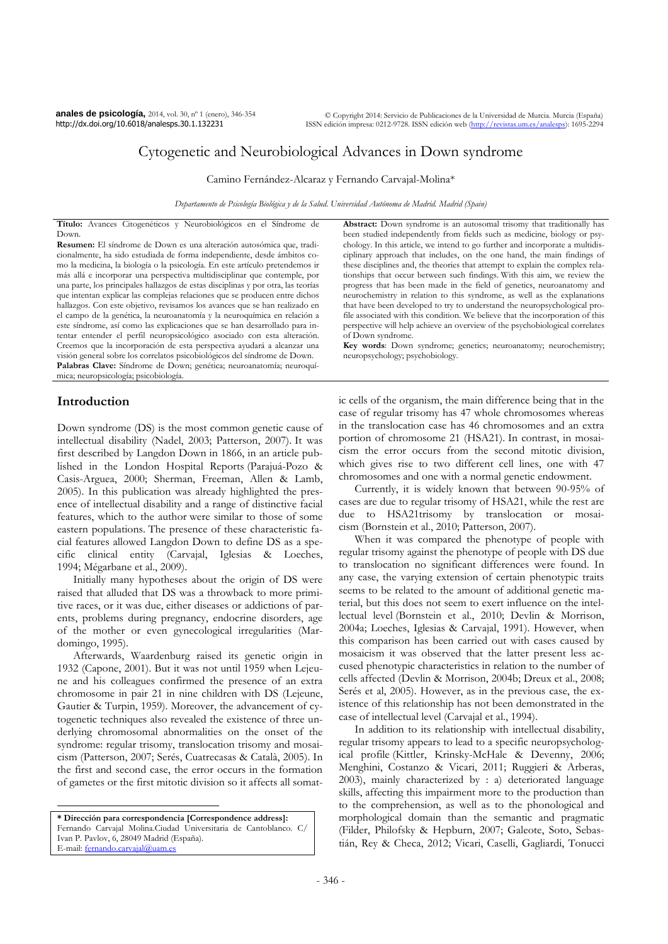**anales de psicología,** 2014, vol. 30, nº 1 (enero), 346-354 http://dx.doi.org/10.6018/analesps.30.1.132231

© Copyright 2014: Servicio de Publicaciones de la Universidad de Murcia. Murcia (España) ISSN edición impresa: 0212-9728. ISSN edición web (http://revistas.u

# Cytogenetic and Neurobiological Advances in Down syndrome

Camino Fernández-Alcaraz y Fernando Carvajal-Molina\*

*Departamento de Psicología Biológica y de la Salud. Universidad Autónoma de Madrid. Madrid (Spain)*

**Título:** Avances Citogenéticos y Neurobiológicos en el Síndrome de Down.

**Resumen:** El síndrome de Down es una alteración autosómica que, tradicionalmente, ha sido estudiada de forma independiente, desde ámbitos como la medicina, la biología o la psicología. En este artículo pretendemos ir más allá e incorporar una perspectiva multidisciplinar que contemple, por una parte, los principales hallazgos de estas disciplinas y por otra, las teorías que intentan explicar las complejas relaciones que se producen entre dichos hallazgos. Con este objetivo, revisamos los avances que se han realizado en el campo de la genética, la neuroanatomía y la neuroquímica en relación a este síndrome, así como las explicaciones que se han desarrollado para intentar entender el perfil neuropsicológico asociado con esta alteración. Creemos que la incorporación de esta perspectiva ayudará a alcanzar una visión general sobre los correlatos psicobiológicos del síndrome de Down. Palabras Clave: Síndrome de Down; genética; neuroanatomía; neuroquímica; neuropsicología; psicobiología.

## **Introduction**

 $\overline{a}$ 

Down syndrome (DS) is the most common genetic cause of intellectual disability (Nadel, 2003; Patterson, 2007). It was first described by Langdon Down in 1866, in an article published in the London Hospital Reports (Parajuá-Pozo & Casis-Arguea, 2000; Sherman, Freeman, Allen & Lamb, 2005). In this publication was already highlighted the presence of intellectual disability and a range of distinctive facial features, which to the author were similar to those of some eastern populations. The presence of these characteristic facial features allowed Langdon Down to define DS as a specific clinical entity (Carvajal, Iglesias & Loeches, 1994; Mégarbane et al., 2009).

Initially many hypotheses about the origin of DS were raised that alluded that DS was a throwback to more primitive races, or it was due, either diseases or addictions of parents, problems during pregnancy, endocrine disorders, age of the mother or even gynecological irregularities (Mardomingo, 1995).

Afterwards, Waardenburg raised its genetic origin in 1932 (Capone, 2001). But it was not until 1959 when Lejeune and his colleagues confirmed the presence of an extra chromosome in pair 21 in nine children with DS (Lejeune, Gautier & Turpin, 1959). Moreover, the advancement of cytogenetic techniques also revealed the existence of three underlying chromosomal abnormalities on the onset of the syndrome: regular trisomy, translocation trisomy and mosaicism (Patterson, 2007; Serés, Cuatrecasas & Català, 2005). In the first and second case, the error occurs in the formation of gametes or the first mitotic division so it affects all somat-

**\* Dirección para correspondencia [Correspondence address]:**  Fernando Carvajal Molina.Ciudad Universitaria de Cantoblanco. C/ Ivan P. Pavlov, 6, 28049 Madrid (España). E-mail[: fernando.carvajal@uam.es](mailto:fernando.carvajal@uam.es)

**Abstract:** Down syndrome is an autosomal trisomy that traditionally has been studied independently from fields such as medicine, biology or psychology. In this article, we intend to go further and incorporate a multidisciplinary approach that includes, on the one hand, the main findings of these disciplines and, the theories that attempt to explain the complex relationships that occur between such findings. With this aim, we review the progress that has been made in the field of genetics, neuroanatomy and neurochemistry in relation to this syndrome, as well as the explanations that have been developed to try to understand the neuropsychological profile associated with this condition. We believe that the incorporation of this perspective will help achieve an overview of the psychobiological correlates of Down syndrome.

**Key words**: Down syndrome; genetics; neuroanatomy; neurochemistry; neuropsychology; psychobiology.

ic cells of the organism, the main difference being that in the case of regular trisomy has 47 whole chromosomes whereas in the translocation case has 46 chromosomes and an extra portion of chromosome 21 (HSA21). In contrast, in mosaicism the error occurs from the second mitotic division, which gives rise to two different cell lines, one with 47 chromosomes and one with a normal genetic endowment.

Currently, it is widely known that between 90-95% of cases are due to regular trisomy of HSA21, while the rest are due to HSA21trisomy by translocation or mosaicism (Bornstein et al., 2010; Patterson, 2007).

When it was compared the phenotype of people with regular trisomy against the phenotype of people with DS due to translocation no significant differences were found. In any case, the varying extension of certain phenotypic traits seems to be related to the amount of additional genetic material, but this does not seem to exert influence on the intellectual level (Bornstein et al., 2010; Devlin & Morrison, 2004a; Loeches, Iglesias & Carvajal, 1991). However, when this comparison has been carried out with cases caused by mosaicism it was observed that the latter present less accused phenotypic characteristics in relation to the number of cells affected (Devlin & Morrison, 2004b; Dreux et al., 2008; Serés et al, 2005). However, as in the previous case, the existence of this relationship has not been demonstrated in the case of intellectual level (Carvajal et al., 1994).

In addition to its relationship with intellectual disability, regular trisomy appears to lead to a specific neuropsychological profile (Kittler, Krinsky-McHale & Devenny, 2006; Menghini, Costanzo & Vicari, 2011; Ruggieri & Arberas, 2003), mainly characterized by : a) deteriorated language skills, affecting this impairment more to the production than to the comprehension, as well as to the phonological and morphological domain than the semantic and pragmatic (Filder, Philofsky & Hepburn, 2007; Galeote, Soto, Sebastián, Rey & Checa, 2012; Vicari, Caselli, Gagliardi, Tonucci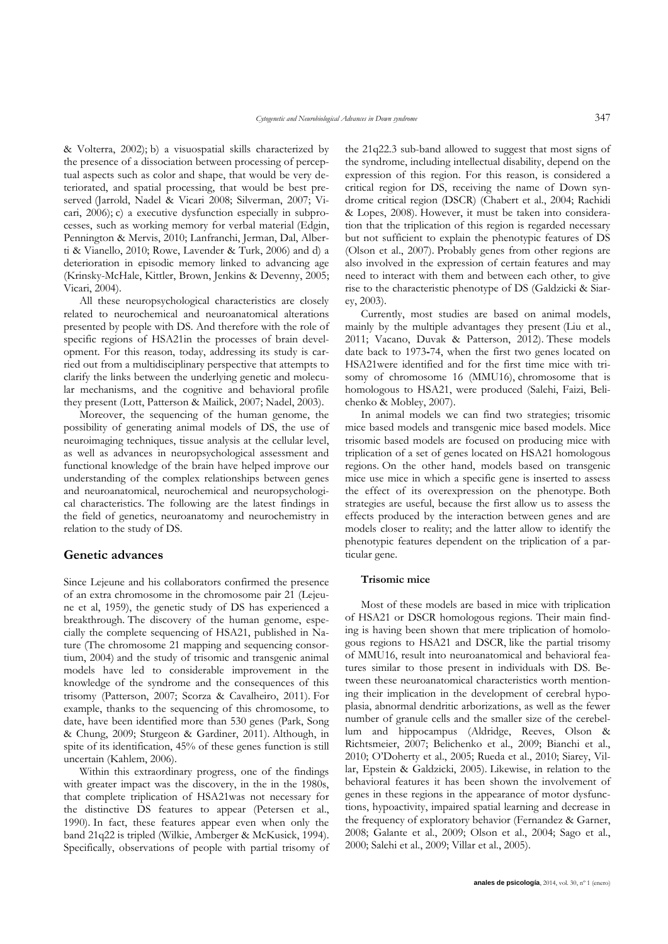& Volterra, 2002); b) a visuospatial skills characterized by the presence of a dissociation between processing of perceptual aspects such as color and shape, that would be very deteriorated, and spatial processing, that would be best preserved (Jarrold, Nadel & Vicari 2008; Silverman, 2007; Vicari, 2006); c) a executive dysfunction especially in subprocesses, such as working memory for verbal material (Edgin, Pennington & Mervis, 2010; Lanfranchi, Jerman, Dal, Alberti & Vianello, 2010; Rowe, Lavender & Turk, 2006) and d) a deterioration in episodic memory linked to advancing age (Krinsky-McHale, Kittler, Brown, Jenkins & Devenny, 2005; Vicari, 2004).

All these neuropsychological characteristics are closely related to neurochemical and neuroanatomical alterations presented by people with DS. And therefore with the role of specific regions of HSA21in the processes of brain development. For this reason, today, addressing its study is carried out from a multidisciplinary perspective that attempts to clarify the links between the underlying genetic and molecular mechanisms, and the cognitive and behavioral profile they present (Lott, Patterson & Mailick, 2007; Nadel, 2003).

Moreover, the sequencing of the human genome, the possibility of generating animal models of DS, the use of neuroimaging techniques, tissue analysis at the cellular level, as well as advances in neuropsychological assessment and functional knowledge of the brain have helped improve our understanding of the complex relationships between genes and neuroanatomical, neurochemical and neuropsychological characteristics. The following are the latest findings in the field of genetics, neuroanatomy and neurochemistry in relation to the study of DS.

## **Genetic advances**

Since Lejeune and his collaborators confirmed the presence of an extra chromosome in the chromosome pair 21 (Lejeune et al, 1959), the genetic study of DS has experienced a breakthrough. The discovery of the human genome, especially the complete sequencing of HSA21, published in Nature (The chromosome 21 mapping and sequencing consortium, 2004) and the study of trisomic and transgenic animal models have led to considerable improvement in the knowledge of the syndrome and the consequences of this trisomy (Patterson, 2007; Scorza & Cavalheiro, 2011). For example, thanks to the sequencing of this chromosome, to date, have been identified more than 530 genes (Park, Song & Chung, 2009; Sturgeon & Gardiner, 2011). Although, in spite of its identification, 45% of these genes function is still uncertain (Kahlem, 2006).

Within this extraordinary progress, one of the findings with greater impact was the discovery, in the in the 1980s, that complete triplication of HSA21was not necessary for the distinctive DS features to appear (Petersen et al., 1990). In fact, these features appear even when only the band 21q22 is tripled (Wilkie, Amberger & McKusick, 1994). Specifically, observations of people with partial trisomy of the 21q22.3 sub-band allowed to suggest that most signs of the syndrome, including intellectual disability, depend on the expression of this region. For this reason, is considered a critical region for DS, receiving the name of Down syndrome critical region (DSCR) (Chabert et al., 2004; Rachidi & Lopes, 2008). However, it must be taken into consideration that the triplication of this region is regarded necessary but not sufficient to explain the phenotypic features of DS (Olson et al., 2007). Probably genes from other regions are also involved in the expression of certain features and may need to interact with them and between each other, to give rise to the characteristic phenotype of DS (Galdzicki & Siarey, 2003).

Currently, most studies are based on animal models, mainly by the multiple advantages they present (Liu et al., 2011; Vacano, Duvak & Patterson, 2012). These models date back to 1973**-**74, when the first two genes located on HSA21were identified and for the first time mice with trisomy of chromosome 16 (MMU16), chromosome that is homologous to HSA21, were produced (Salehi, Faizi, Belichenko & Mobley, 2007).

In animal models we can find two strategies; trisomic mice based models and transgenic mice based models. Mice trisomic based models are focused on producing mice with triplication of a set of genes located on HSA21 homologous regions. On the other hand, models based on transgenic mice use mice in which a specific gene is inserted to assess the effect of its overexpression on the phenotype. Both strategies are useful, because the first allow us to assess the effects produced by the interaction between genes and are models closer to reality; and the latter allow to identify the phenotypic features dependent on the triplication of a particular gene.

## **Trisomic mice**

Most of these models are based in mice with triplication of HSA21 or DSCR homologous regions. Their main finding is having been shown that mere triplication of homologous regions to HSA21 and DSCR, like the partial trisomy of MMU16, result into neuroanatomical and behavioral features similar to those present in individuals with DS. Between these neuroanatomical characteristics worth mentioning their implication in the development of cerebral hypoplasia, abnormal dendritic arborizations, as well as the fewer number of granule cells and the smaller size of the cerebellum and hippocampus (Aldridge, Reeves, Olson & Richtsmeier, 2007; Belichenko et al., 2009; Bianchi et al., 2010; O"Doherty et al., 2005; Rueda et al., 2010; Siarey, Villar, Epstein & Galdzicki, 2005). Likewise, in relation to the behavioral features it has been shown the involvement of genes in these regions in the appearance of motor dysfunctions, hypoactivity, impaired spatial learning and decrease in the frequency of exploratory behavior (Fernandez & Garner, 2008; Galante et al., 2009; Olson et al., 2004; Sago et al., 2000; Salehi et al., 2009; Villar et al., 2005).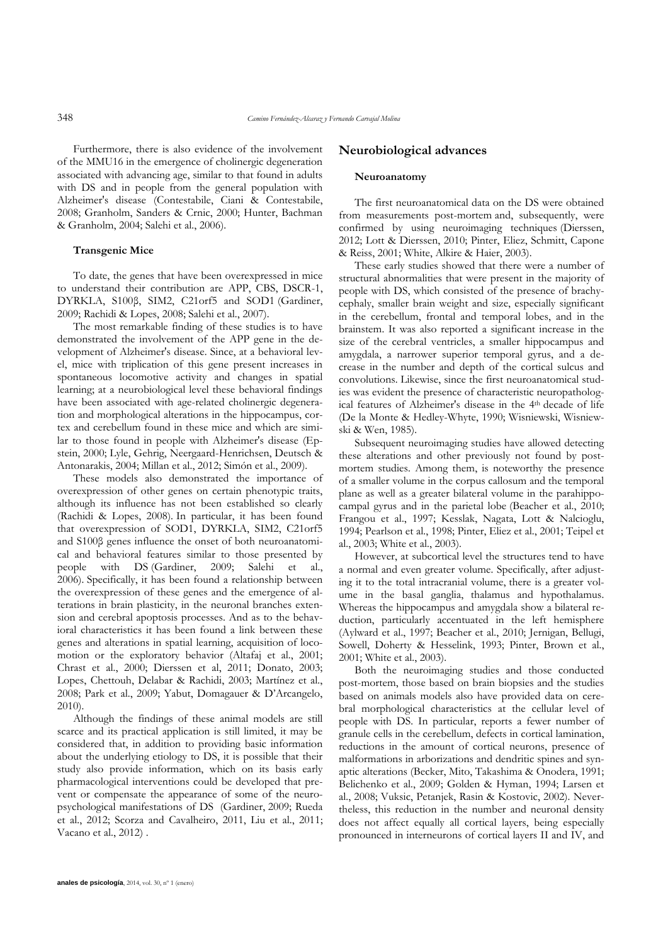Furthermore, there is also evidence of the involvement of the MMU16 in the emergence of cholinergic degeneration associated with advancing age, similar to that found in adults with DS and in people from the general population with Alzheimer's disease (Contestabile, Ciani & Contestabile, 2008; Granholm, Sanders & Crnic, 2000; Hunter, Bachman & Granholm, 2004; Salehi et al., 2006).

## **Transgenic Mice**

To date, the genes that have been overexpressed in mice to understand their contribution are APP, CBS, DSCR-1, DYRKLA, S100β, SIM2, C21orf5 and SOD1 (Gardiner, 2009; Rachidi & Lopes, 2008; Salehi et al., 2007).

The most remarkable finding of these studies is to have demonstrated the involvement of the APP gene in the development of Alzheimer's disease. Since, at a behavioral level, mice with triplication of this gene present increases in spontaneous locomotive activity and changes in spatial learning; at a neurobiological level these behavioral findings have been associated with age-related cholinergic degeneration and morphological alterations in the hippocampus, cortex and cerebellum found in these mice and which are similar to those found in people with Alzheimer's disease (Epstein, 2000; Lyle, Gehrig, Neergaard-Henrichsen, Deutsch & Antonarakis, 2004; Millan et al., 2012; Simón et al., 2009).

These models also demonstrated the importance of overexpression of other genes on certain phenotypic traits, although its influence has not been established so clearly (Rachidi & Lopes, 2008). In particular, it has been found that overexpression of SOD1, DYRKLA, SIM2, C21orf5 and S100β genes influence the onset of both neuroanatomical and behavioral features similar to those presented by people with DS (Gardiner, 2009; Salehi et al., 2006). Specifically, it has been found a relationship between the overexpression of these genes and the emergence of alterations in brain plasticity, in the neuronal branches extension and cerebral apoptosis processes. And as to the behavioral characteristics it has been found a link between these genes and alterations in spatial learning, acquisition of locomotion or the exploratory behavior (Altafaj et al., 2001; Chrast et al., 2000; Dierssen et al, 2011; Donato, 2003; Lopes, Chettouh, Delabar & Rachidi, 2003; Martínez et al., 2008; Park et al., 2009; Yabut, Domagauer & D"Arcangelo, 2010).

Although the findings of these animal models are still scarce and its practical application is still limited, it may be considered that, in addition to providing basic information about the underlying etiology to DS, it is possible that their study also provide information, which on its basis early pharmacological interventions could be developed that prevent or compensate the appearance of some of the neuropsychological manifestations of DS (Gardiner, 2009; Rueda et al., 2012; Scorza and Cavalheiro, 2011, Liu et al., 2011; Vacano et al., 2012) .

## **Neurobiological advances**

## **Neuroanatomy**

The first neuroanatomical data on the DS were obtained from measurements post-mortem and, subsequently, were confirmed by using neuroimaging techniques (Dierssen, 2012; Lott & Dierssen, 2010; Pinter, Eliez, Schmitt, Capone & Reiss, 2001; White, Alkire & Haier, 2003).

These early studies showed that there were a number of structural abnormalities that were present in the majority of people with DS, which consisted of the presence of brachycephaly, smaller brain weight and size, especially significant in the cerebellum, frontal and temporal lobes, and in the brainstem. It was also reported a significant increase in the size of the cerebral ventricles, a smaller hippocampus and amygdala, a narrower superior temporal gyrus, and a decrease in the number and depth of the cortical sulcus and convolutions. Likewise, since the first neuroanatomical studies was evident the presence of characteristic neuropathological features of Alzheimer's disease in the 4<sup>th</sup> decade of life (De la Monte & Hedley-Whyte, 1990; Wisniewski, Wisniewski & Wen, 1985).

Subsequent neuroimaging studies have allowed detecting these alterations and other previously not found by postmortem studies. Among them, is noteworthy the presence of a smaller volume in the corpus callosum and the temporal plane as well as a greater bilateral volume in the parahippocampal gyrus and in the parietal lobe (Beacher et al., 2010; Frangou et al., 1997; Kesslak, Nagata, Lott & Nalcioglu, 1994; Pearlson et al., 1998; Pinter, Eliez et al., 2001; Teipel et al., 2003; White et al., 2003).

However, at subcortical level the structures tend to have a normal and even greater volume. Specifically, after adjusting it to the total intracranial volume, there is a greater volume in the basal ganglia, thalamus and hypothalamus. Whereas the hippocampus and amygdala show a bilateral reduction, particularly accentuated in the left hemisphere (Aylward et al., 1997; Beacher et al., 2010; Jernigan, Bellugi, Sowell, Doherty & Hesselink, 1993; Pinter, Brown et al., 2001; White et al., 2003).

Both the neuroimaging studies and those conducted post-mortem, those based on brain biopsies and the studies based on animals models also have provided data on cerebral morphological characteristics at the cellular level of people with DS. In particular, reports a fewer number of granule cells in the cerebellum, defects in cortical lamination, reductions in the amount of cortical neurons, presence of malformations in arborizations and dendritic spines and synaptic alterations (Becker, Mito, Takashima & Onodera, 1991; Belichenko et al., 2009; Golden & Hyman, 1994; Larsen et al., 2008; Vuksic, Petanjek, Rasin & Kostovic, 2002). Nevertheless, this reduction in the number and neuronal density does not affect equally all cortical layers, being especially pronounced in interneurons of cortical layers II and IV, and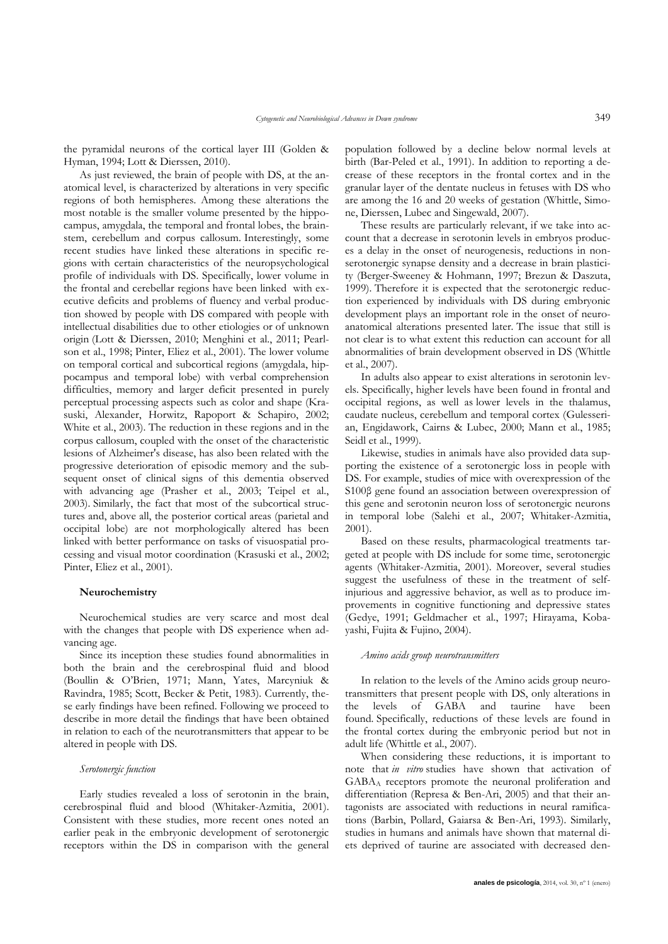the pyramidal neurons of the cortical layer III (Golden & Hyman, 1994; Lott & Dierssen, 2010).

As just reviewed, the brain of people with DS, at the anatomical level, is characterized by alterations in very specific regions of both hemispheres. Among these alterations the most notable is the smaller volume presented by the hippocampus, amygdala, the temporal and frontal lobes, the brainstem, cerebellum and corpus callosum. Interestingly, some recent studies have linked these alterations in specific regions with certain characteristics of the neuropsychological profile of individuals with DS. Specifically, lower volume in the frontal and cerebellar regions have been linked with executive deficits and problems of fluency and verbal production showed by people with DS compared with people with intellectual disabilities due to other etiologies or of unknown origin (Lott & Dierssen, 2010; Menghini et al., 2011; Pearlson et al., 1998; Pinter, Eliez et al., 2001). The lower volume on temporal cortical and subcortical regions (amygdala, hippocampus and temporal lobe) with verbal comprehension difficulties, memory and larger deficit presented in purely perceptual processing aspects such as color and shape (Krasuski, Alexander, Horwitz, Rapoport & Schapiro, 2002; White et al., 2003). The reduction in these regions and in the corpus callosum, coupled with the onset of the characteristic lesions of Alzheimer's disease, has also been related with the progressive deterioration of episodic memory and the subsequent onset of clinical signs of this dementia observed with advancing age (Prasher et al., 2003; Teipel et al., 2003). Similarly, the fact that most of the subcortical structures and, above all, the posterior cortical areas (parietal and occipital lobe) are not morphologically altered has been linked with better performance on tasks of visuospatial processing and visual motor coordination (Krasuski et al., 2002; Pinter, Eliez et al., 2001).

#### **Neurochemistry**

Neurochemical studies are very scarce and most deal with the changes that people with DS experience when advancing age.

Since its inception these studies found abnormalities in both the brain and the cerebrospinal fluid and blood (Boullin & O"Brien, 1971; Mann, Yates, Marcyniuk & Ravindra, 1985; Scott, Becker & Petit, 1983). Currently, these early findings have been refined. Following we proceed to describe in more detail the findings that have been obtained in relation to each of the neurotransmitters that appear to be altered in people with DS.

#### *Serotonergic function*

Early studies revealed a loss of serotonin in the brain, cerebrospinal fluid and blood (Whitaker-Azmitia, 2001). Consistent with these studies, more recent ones noted an earlier peak in the embryonic development of serotonergic receptors within the DS in comparison with the general

population followed by a decline below normal levels at birth (Bar-Peled et al., 1991). In addition to reporting a decrease of these receptors in the frontal cortex and in the granular layer of the dentate nucleus in fetuses with DS who are among the 16 and 20 weeks of gestation (Whittle, Simone, Dierssen, Lubec and Singewald, 2007).

These results are particularly relevant, if we take into account that a decrease in serotonin levels in embryos produces a delay in the onset of neurogenesis, reductions in nonserotonergic synapse density and a decrease in brain plasticity (Berger-Sweeney & Hohmann, 1997; Brezun & Daszuta, 1999). Therefore it is expected that the serotonergic reduction experienced by individuals with DS during embryonic development plays an important role in the onset of neuroanatomical alterations presented later. The issue that still is not clear is to what extent this reduction can account for all abnormalities of brain development observed in DS (Whittle et al., 2007).

In adults also appear to exist alterations in serotonin levels. Specifically, higher levels have been found in frontal and occipital regions, as well as lower levels in the thalamus, caudate nucleus, cerebellum and temporal cortex (Gulesserian, Engidawork, Cairns & Lubec, 2000; Mann et al., 1985; Seidl et al., 1999).

Likewise, studies in animals have also provided data supporting the existence of a serotonergic loss in people with DS. For example, studies of mice with overexpression of the S100β gene found an association between overexpression of this gene and serotonin neuron loss of serotonergic neurons in temporal lobe (Salehi et al., 2007; Whitaker-Azmitia, 2001).

Based on these results, pharmacological treatments targeted at people with DS include for some time, serotonergic agents (Whitaker-Azmitia, 2001). Moreover, several studies suggest the usefulness of these in the treatment of selfinjurious and aggressive behavior, as well as to produce improvements in cognitive functioning and depressive states (Gedye, 1991; Geldmacher et al., 1997; Hirayama, Kobayashi, Fujita & Fujino, 2004).

## *Amino acids group neurotransmitters*

In relation to the levels of the Amino acids group neurotransmitters that present people with DS, only alterations in the levels of GABA and taurine have been found. Specifically, reductions of these levels are found in the frontal cortex during the embryonic period but not in adult life (Whittle et al., 2007).

When considering these reductions, it is important to note that *in vitro* studies have shown that activation of GABA<sup>A</sup> receptors promote the neuronal proliferation and differentiation (Represa & Ben-Ari, 2005) and that their antagonists are associated with reductions in neural ramifications (Barbin, Pollard, Gaiarsa & Ben-Ari, 1993). Similarly, studies in humans and animals have shown that maternal diets deprived of taurine are associated with decreased den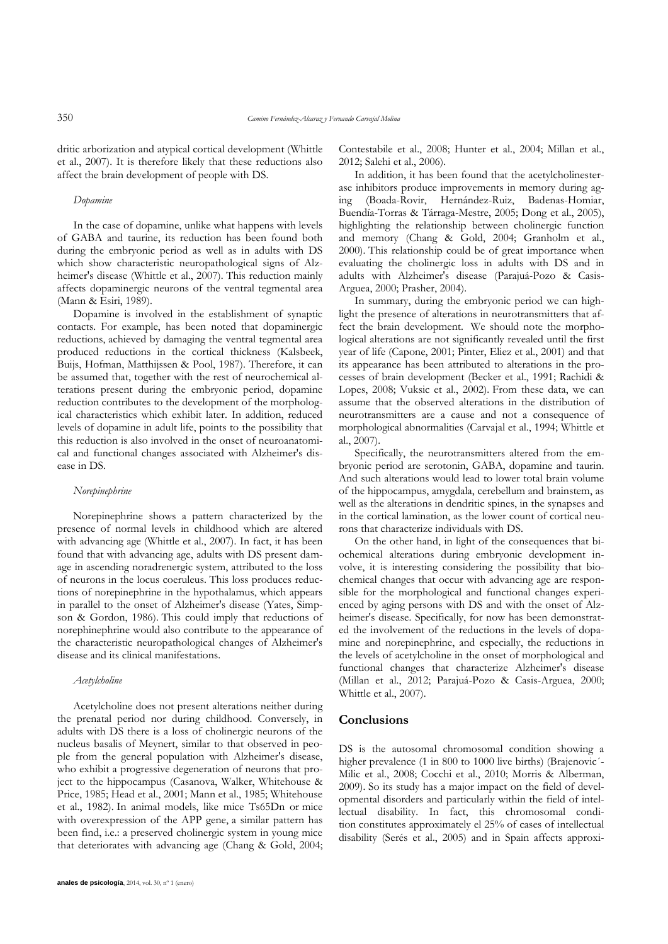dritic arborization and atypical cortical development (Whittle et al., 2007). It is therefore likely that these reductions also affect the brain development of people with DS.

#### *Dopamine*

In the case of dopamine, unlike what happens with levels of GABA and taurine, its reduction has been found both during the embryonic period as well as in adults with DS which show characteristic neuropathological signs of Alzheimer's disease (Whittle et al., 2007). This reduction mainly affects dopaminergic neurons of the ventral tegmental area (Mann & Esiri, 1989).

Dopamine is involved in the establishment of synaptic contacts. For example, has been noted that dopaminergic reductions, achieved by damaging the ventral tegmental area produced reductions in the cortical thickness (Kalsbeek, Buijs, Hofman, Matthijssen & Pool, 1987). Therefore, it can be assumed that, together with the rest of neurochemical alterations present during the embryonic period, dopamine reduction contributes to the development of the morphological characteristics which exhibit later. In addition, reduced levels of dopamine in adult life, points to the possibility that this reduction is also involved in the onset of neuroanatomical and functional changes associated with Alzheimer's disease in DS.

## *Norepinephrine*

Norepinephrine shows a pattern characterized by the presence of normal levels in childhood which are altered with advancing age (Whittle et al., 2007). In fact, it has been found that with advancing age, adults with DS present damage in ascending noradrenergic system, attributed to the loss of neurons in the locus coeruleus. This loss produces reductions of norepinephrine in the hypothalamus, which appears in parallel to the onset of Alzheimer's disease (Yates, Simpson & Gordon, 1986). This could imply that reductions of norephinephrine would also contribute to the appearance of the characteristic neuropathological changes of Alzheimer's disease and its clinical manifestations.

## *Acetylcholine*

Acetylcholine does not present alterations neither during the prenatal period nor during childhood. Conversely, in adults with DS there is a loss of cholinergic neurons of the nucleus basalis of Meynert, similar to that observed in people from the general population with Alzheimer's disease, who exhibit a progressive degeneration of neurons that project to the hippocampus (Casanova, Walker, Whitehouse & Price, 1985; Head et al., 2001; Mann et al., 1985; Whitehouse et al., 1982). In animal models, like mice Ts65Dn or mice with overexpression of the APP gene, a similar pattern has been find, i.e.: a preserved cholinergic system in young mice that deteriorates with advancing age (Chang & Gold, 2004; Contestabile et al., 2008; Hunter et al., 2004; Millan et al., 2012; Salehi et al., 2006).

In addition, it has been found that the acetylcholinesterase inhibitors produce improvements in memory during aging (Boada-Rovir, Hernández-Ruiz, Badenas-Homiar, Buendía-Torras & Tárraga-Mestre, 2005; Dong et al., 2005), highlighting the relationship between cholinergic function and memory (Chang & Gold, 2004; Granholm et al., 2000). This relationship could be of great importance when evaluating the cholinergic loss in adults with DS and in adults with Alzheimer's disease (Parajuá-Pozo & Casis-Arguea, 2000; Prasher, 2004).

In summary, during the embryonic period we can highlight the presence of alterations in neurotransmitters that affect the brain development. We should note the morphological alterations are not significantly revealed until the first year of life (Capone, 2001; Pinter, Eliez et al., 2001) and that its appearance has been attributed to alterations in the processes of brain development (Becker et al., 1991; Rachidi & Lopes, 2008; Vuksic et al., 2002). From these data, we can assume that the observed alterations in the distribution of neurotransmitters are a cause and not a consequence of morphological abnormalities (Carvajal et al., 1994; Whittle et al., 2007).

Specifically, the neurotransmitters altered from the embryonic period are serotonin, GABA, dopamine and taurin. And such alterations would lead to lower total brain volume of the hippocampus, amygdala, cerebellum and brainstem, as well as the alterations in dendritic spines, in the synapses and in the cortical lamination, as the lower count of cortical neurons that characterize individuals with DS.

On the other hand, in light of the consequences that biochemical alterations during embryonic development involve, it is interesting considering the possibility that biochemical changes that occur with advancing age are responsible for the morphological and functional changes experienced by aging persons with DS and with the onset of Alzheimer's disease. Specifically, for now has been demonstrated the involvement of the reductions in the levels of dopamine and norepinephrine, and especially, the reductions in the levels of acetylcholine in the onset of morphological and functional changes that characterize Alzheimer's disease (Millan et al., 2012; Parajuá-Pozo & Casis-Arguea, 2000; Whittle et al., 2007).

## **Conclusions**

DS is the autosomal chromosomal condition showing a higher prevalence (1 in 800 to 1000 live births) (Brajenovic'-Milic et al., 2008; Cocchi et al., 2010; Morris & Alberman, 2009). So its study has a major impact on the field of developmental disorders and particularly within the field of intellectual disability. In fact, this chromosomal condition constitutes approximately el 25% of cases of intellectual disability (Serés et al., 2005) and in Spain affects approxi-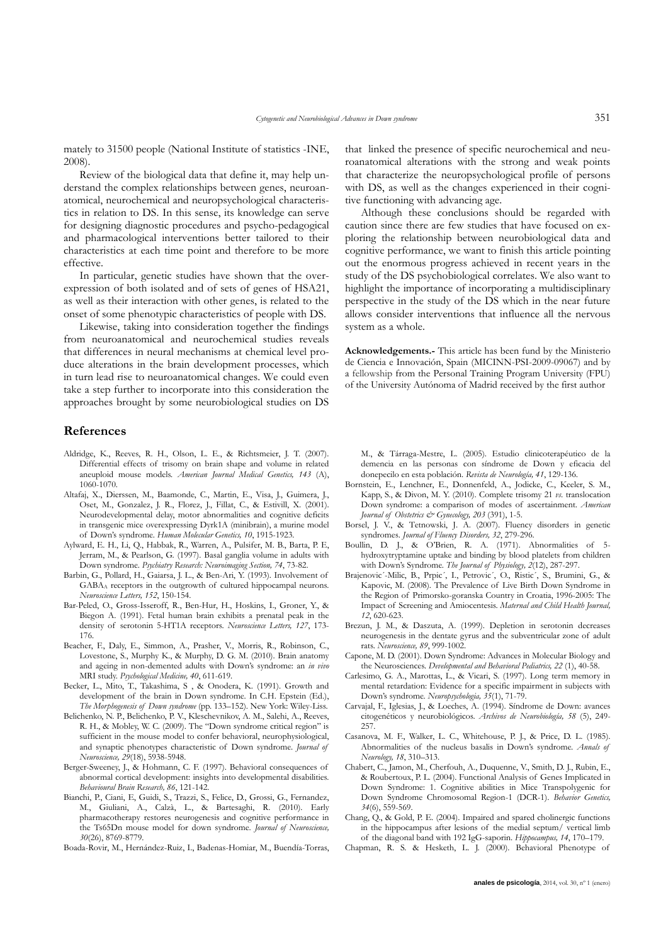mately to 31500 people (National Institute of statistics -INE, 2008).

Review of the biological data that define it, may help understand the complex relationships between genes, neuroanatomical, neurochemical and neuropsychological characteristics in relation to DS. In this sense, its knowledge can serve for designing diagnostic procedures and psycho-pedagogical and pharmacological interventions better tailored to their characteristics at each time point and therefore to be more effective.

In particular, genetic studies have shown that the overexpression of both isolated and of sets of genes of HSA21, as well as their interaction with other genes, is related to the onset of some phenotypic characteristics of people with DS.

Likewise, taking into consideration together the findings from neuroanatomical and neurochemical studies reveals that differences in neural mechanisms at chemical level produce alterations in the brain development processes, which in turn lead rise to neuroanatomical changes. We could even take a step further to incorporate into this consideration the approaches brought by some neurobiological studies on DS

## **References**

- Aldridge, K., Reeves, R. H., Olson, L. E., & Richtsmeier, J. T. (2007). Differential effects of trisomy on brain shape and volume in related aneuploid mouse models. *American Journal Medical Genetics, 143* (A), 1060-1070.
- Altafaj, X., Dierssen, M., Baamonde, C., Martin, E., Visa, J., Guimera, J., Oset, M., Gonzalez, J. R., Florez, J., Fillat, C., & Estivill, X. (2001). Neurodevelopmental delay, motor abnormalities and cognitive deficits in transgenic mice overexpressing Dyrk1A (minibrain), a murine model of Down"s syndrome. *Human Molecular Genetics, 10*, 1915-1923.
- Aylward, E. H., Li, Q., Habbak, R., Warren, A., Pulsifer, M. B., Barta, P. E, Jerram, M., & Pearlson, G. (1997). Basal ganglia volume in adults with Down syndrome. *Psychiatry Research: Neuroimaging Section, 74*, 73-82.
- Barbin, G., Pollard, H., Gaiarsa, J. L., & Ben-Ari, Y. (1993). Involvement of GABA<sup>A</sup> receptors in the outgrowth of cultured hippocampal neurons. *Neuroscience Letters, 152*, 150-154.
- Bar-Peled, O., Gross-Isseroff, R., Ben-Hur, H., Hoskins, I., Groner, Y., & Biegon A. (1991). Fetal human brain exhibits a prenatal peak in the density of serotonin 5-HT1A receptors. *Neuroscience Letters, 127*, 173- 176.
- Beacher, F., Daly, E., Simmon, A., Prasher, V., Morris, R., Robinson, C., Lovestone, S., Murphy K., & Murphy, D. G. M. (2010). Brain anatomy and ageing in non-demented adults with Down's syndrome: an *in vivo* MRI study. *Psychological Medicine, 40*, 611-619.
- Becker, L., Mito, T., Takashima, S , & Onodera, K. (1991). Growth and development of the brain in Down syndrome. In C.H. Epstein (Ed.), *The Morphogenesis of Down syndrome* (pp. 133–152). New York: Wiley-Liss.
- Belichenko, N. P., Belichenko, P. V., Kleschevnikov, A. M., Salehi, A., Reeves, R. H., & Mobley, W. C. (2009). The "Down syndrome critical region" is sufficient in the mouse model to confer behavioral, neurophysiological, and synaptic phenotypes characteristic of Down syndrome. *Journal of Neuroscience, 29*(18), 5938-5948.
- Berger-Sweeney, J., & Hohmann, C. F. (1997). Behavioral consequences of abnormal cortical development: insights into developmental disabilities. *Behavioural Brain Research, 86*, 121-142.
- Bianchi, P., Ciani, E, Guidi, S., Trazzi, S., Felice, D., Grossi, G., Fernandez, M., Giuliani, A., Calzà, L., & Bartesaghi, R. (2010). Early pharmacotherapy restores neurogenesis and cognitive performance in the Ts65Dn mouse model for down syndrome. *Journal of Neuroscience, 30*(26), 8769-8779.
- Boada-Rovir, M., Hernández-Ruiz, I., Badenas-Homiar, M., Buendía-Torras,

that linked the presence of specific neurochemical and neuroanatomical alterations with the strong and weak points that characterize the neuropsychological profile of persons with DS, as well as the changes experienced in their cognitive functioning with advancing age.

Although these conclusions should be regarded with caution since there are few studies that have focused on exploring the relationship between neurobiological data and cognitive performance, we want to finish this article pointing out the enormous progress achieved in recent years in the study of the DS psychobiological correlates. We also want to highlight the importance of incorporating a multidisciplinary perspective in the study of the DS which in the near future allows consider interventions that influence all the nervous system as a whole.

**Acknowledgements.-** This article has been fund by the Ministerio de Ciencia e Innovación, Spain (MICINN-PSI-2009-09067) and by a fellowship from the Personal Training Program University (FPU) of the University Autónoma of Madrid received by the first author

M., & Tárraga-Mestre, L. (2005). Estudio clinicoterapéutico de la demencia en las personas con síndrome de Down y eficacia del donepecilo en esta población. *Revista de Neurología, 41*, 129-136.

- Bornstein, E., Lenchner, E., Donnenfeld, A., Jodicke, C., Keeler, S. M., Kapp, S., & Divon, M. Y. (2010). Complete trisomy 21 *vs*. translocation Down syndrome: a comparison of modes of ascertainment. *American Journal of Obstetrics & Gynecology, 203* (391), 1-5.
- Borsel, J. V., & Tetnowski, J. A. (2007). Fluency disorders in genetic syndromes. *Journal of Fluency Disorders, 32*, 279-296.
- Boullin, D. J., & O"Brien, R. A. (1971). Abnormalities of 5 hydroxytryptamine uptake and binding by blood platelets from children with Down"s Syndrome. *[The Journal of Physiology,](http://jp.physoc.org/) 2*(12), 287-297.
- Brajenovic´-Milic, B., Prpic´, I., Petrovic´, O., Ristic´, S., Brumini, G., & Kapovic, M. (2008). The Prevalence of Live Birth Down Syndrome in the Region of Primorsko-goranska Country in Croatia, 1996-2005: The Impact of Screening and Amiocentesis. *Maternal and Child Health Journal, 12*, 620-623.
- Brezun, J. M., & Daszuta, A. (1999). Depletion in serotonin decreases neurogenesis in the dentate gyrus and the subventricular zone of adult rats. *Neuroscience, 89*, 999-1002.
- Capone, M. D. (2001). Down Syndrome: Advances in Molecular Biology and the Neurosciences. *Developmental and Behavioral Pediatrics, 22* (1), 40-58.
- Carlesimo, G. A., Marottas, L., & Vicari, S. (1997). Long term memory in mental retardation: Evidence for a specific impairment in subjects with Down"s syndrome. *Neuropsychologia, 35*(1), 71-79.
- Carvajal, F., Iglesias, J., & Loeches, A. (1994). Síndrome de Down: avances citogenéticos y neurobiológicos. *Archivos de Neurobiología, 58* (5), 249- 257.
- Casanova, M. F., Walker, L. C., Whitehouse, P. J., & Price, D. L. (1985). Abnormalities of the nucleus basalis in Down"s syndrome. *Annals of Neurology, 18*, 310–313.
- Chabert, C., Jamon, M., Cherfouh, A., Duquenne, V., Smith, D. J., Rubin, E., & Roubertoux, P. L. (2004). Functional Analysis of Genes Implicated in Down Syndrome: 1. Cognitive abilities in Mice Transpolygenic for Down Syndrome Chromosomal Region-1 (DCR-1). *Behavior Genetics, 34*(6), 559-569.
- Chang, Q., & Gold, P. E. (2004). Impaired and spared cholinergic functions in the hippocampus after lesions of the medial septum/ vertical limb of the diagonal band with 192 IgG-saporin. *Hippocampus, 14*, 170–179.
- Chapman, R. S. & Hesketh, L. J. (2000). Behavioral Phenotype of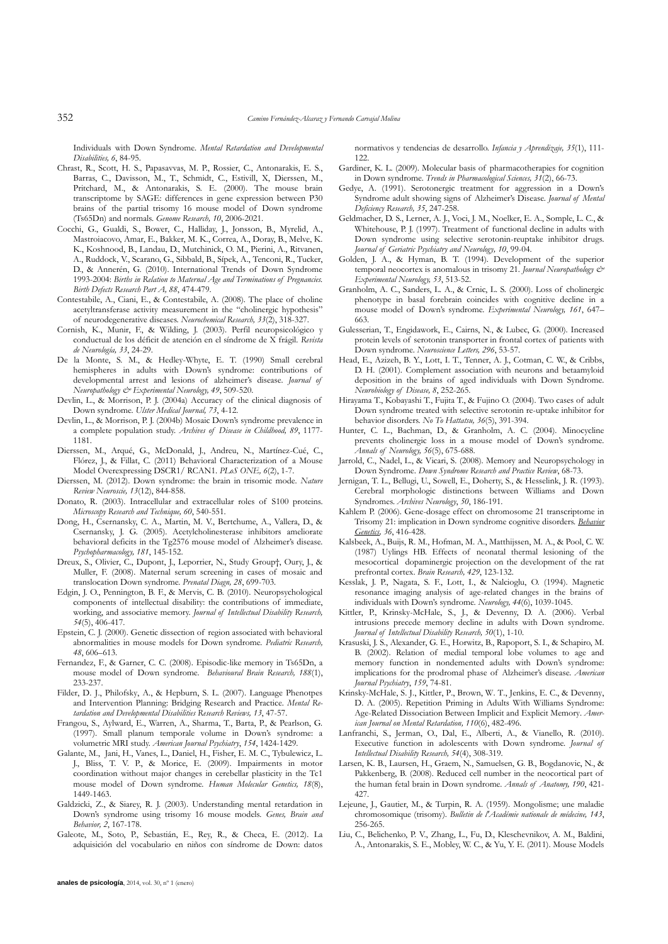Individuals with Down Syndrome. *Mental Retardation and Developmental Disabilities, 6*, 84-95.

- Chrast, R., Scott, H. S., Papasavvas, M. P., Rossier, C., Antonarakis, E. S., Barras, C., Davisson, M., T., Schmidt, C., Estivill, X, Dierssen, M., Pritchard, M., & Antonarakis, S. E. (2000). The mouse brain transcriptome by SAGE: differences in gene expression between P30 brains of the partial trisomy 16 mouse model of Down syndrome (Ts65Dn) and normals. *Genome Research, 10*, 2006-2021.
- Cocchi, G., Gualdi, S., Bower, C., Halliday, J., Jonsson, B., Myrelid, A., Mastroiacovo, Amar, E., Bakker, M. K., Correa, A., Doray, B., Melve, K. K., Koshnood, B., Landau, D., Mutchinick, O. M., Pierini, A., Ritvanen, A., Ruddock, V., Scarano, G., Sibbald, B., Sípek, A., Tenconi, R., Tucker, D., & Annerén, G. (2010). International Trends of Down Syndrome 1993-2004: *Births in Relation to Maternal Age and Terminations of Pregnancies. Birth Defects Research Part A, 88*, 474-479.
- Contestabile, A., Ciani, E., & Contestabile, A. (2008). The place of choline acetyltransferase activity measurement in the "cholinergic hypothesis" of neurodegenerative diseases. *Neurochemical Research, 33*(2), 318-327.
- Cornish, K., Munir, F., & Wilding, J. (2003). Perfil neuropsicológico y conductual de los déficit de atención en el síndrome de X frágil. *Revista de Neurología, 33*, 24-29.
- De la Monte, S. M., & Hedley-Whyte, E. T. (1990) Small cerebral hemispheres in adults with Down"s syndrome: contributions of developmental arrest and lesions of alzheimer"s disease. *Journal of Neuropathology & Experimental Neurology, 49*, 509-520.
- Devlin, L., & Morrison, P. J. (2004a) Accuracy of the clinical diagnosis of Down syndrome. *Ulster Medical Journal, 73*, 4-12.
- Devlin, L., & Morrison, P. J. (2004b) Mosaic Down"s syndrome prevalence in a complete population study. *Archives of Disease in Childhood, 89*, 1177- 1181.
- Dierssen, M., Arqué, G., McDonald, J., Andreu, N., Martínez-Cué, C., Flórez, J., & Fillat, C. (2011) Behavioral Characterization of a Mouse Model Overexpressing DSCR1/ RCAN1. *PLoS ONE, 6*(2), 1-7.
- Dierssen, M. (2012). Down syndrome: the brain in trisomic mode. *Nature Review Neuroscie, 13*(12), 844-858.
- Donato, R. (2003). Intracellular and extracellular roles of S100 proteins. *Microscopy Research and Technique, 60*, 540-551.
- Dong, H., Csernansky, C. A., Martin, M. V., Bertchume, A., Vallera, D., & Csernansky, J. G. (2005). Acetylcholinesterase inhibitors ameliorate behavioral deficits in the Tg2576 mouse model of Alzheimer's disease. *Psychopharmacology, 181*, 145-152.
- Dreux, S., Olivier, C., Dupont, J., Leporrier, N., Study Group†, Oury, J., & Muller, F. (2008). Maternal serum screening in cases of mosaic and translocation Down syndrome. *Prenatal Diagn, 28*, 699-703.
- Edgin, J. O., Pennington, B. F., & Mervis, C. B. (2010). Neuropsychological components of intellectual disability: the contributions of immediate, working, and associative memory. *Journal of Intellectual Disability Research, 54*(5), 406-417.
- Epstein, C. J. (2000). Genetic dissection of region associated with behavioral abnormalities in mouse models for Down syndrome. *Pediatric Research, 48*, 606–613.
- Fernandez, F., & Garner, C. C. (2008). Episodic-like memory in Ts65Dn, a mouse model of Down syndrome. *Behavioural Brain Research, 188*(1), 233-237.
- Filder, D. J., Philofsky, A., & Hepburn, S. L. (2007). Language Phenotpes and Intervention Planning: Bridging Research and Practice. *Mental Retardation and Developmental Disabilities Research Reviews, 13*, 47-57.
- Frangou, S., Aylward, E., Warren, A., Sharma, T., Barta, P., & Pearlson, G. (1997). Small planum temporale volume in Down"s syndrome: a volumetric MRI study. *American Journal Psychiatry*, *154*, 1424-1429.
- Galante, M., Jani, H., Vanes, L., Daniel, H., Fisher, E. M. C., Tybulewicz, L. J., Bliss, T. V. P., & Morice, E. (2009). Impairments in motor coordination without major changes in cerebellar plasticity in the Tc1 mouse model of Down syndrome. *Human Molecular Genetics, 18*(8), 1449-1463.
- Galdzicki, Z., & Siarey, R. J. (2003). Understanding mental retardation in Down"s syndrome using trisomy 16 mouse models. *Genes, Brain and Behavior, 2*, 167-178.
- Galeote, M., Soto, P., Sebastián, E., Rey, R., & Checa, E. (2012). La adquisición del vocabulario en niños con síndrome de Down: datos

normativos y tendencias de desarrollo. *Infancia y Aprendizaje, 35*(1), 111- 122

- Gardiner, K. L. (2009). Molecular basis of pharmacotherapies for cognition in Down syndrome. *Trends in Pharmacological Sciences, 31*(2), 66-73.
- Gedye, A. (1991). Serotonergic treatment for aggression in a Down"s Syndrome adult showing signs of Alzheimer"s Disease. *Journal of Mental Deficiency Research, 35*, 247-258.
- Geldmacher, D. S., Lerner, A. J., Voci, J. M., Noelker, E. A., Somple, L. C., & Whitehouse, P. J. (1997). Treatment of functional decline in adults with Down syndrome using selective serotonin-reuptake inhibitor drugs. *[Journal of Geriatric Psychiatry and Neurology,](http://jgp.sagepub.com/) 10*, 99-04.
- Golden, J. A., & Hyman, B. T. (1994). Development of the superior temporal neocortex is anomalous in trisomy 21. *Journal Neuropathology & Experimental Neurology, 53*, 513-52.
- Granholm, A. C., Sanders, L. A., & Crnic, L. S. (2000). Loss of cholinergic phenotype in basal forebrain coincides with cognitive decline in a mouse model of Down"s syndrome. *Experimental Neurology, 161*, 647– 663.
- Gulesserian, T., Engidawork, E., Cairns, N., & Lubec, G. (2000). Increased protein levels of serotonin transporter in frontal cortex of patients with Down syndrome. *Neuroscience Letters, 296*, 53-57.
- Head, E., Azizeh, B. Y., Lott, I. T., Tenner, A. J., Cotman, C. W., & Cribbs, D. H. (2001). Complement association with neurons and betaamyloid deposition in the brains of aged individuals with Down Syndrome. *Neurobiology of Disease, 8*, 252-265.
- Hirayama T., Kobayashi T., Fujita T., & Fujino O. (2004). Two cases of adult Down syndrome treated with selective serotonin re-uptake inhibitor for behavior disorders. *No To Hattatsu, 36*(5), 391-394.
- Hunter, C. L., Bachman, D., & Granholm, A. C. (2004). Minocycline prevents cholinergic loss in a mouse model of Down"s syndrome. *Annals of Neurology, 56*(5), 675-688.
- Jarrold, C., Nadel, L., & Vicari, S. (2008). Memory and Neuropsychology in Down Syndrome. *Down Syndrome Research and Practice Review*, 68-73.
- Jernigan, T. L., Bellugi, U., Sowell, E., Doherty, S., & Hesselink, J. R. (1993). Cerebral morphologic distinctions between Williams and Down Syndromes. *Archives Neurology*, *50*, 186-191.
- Kahlem P. (2006). Gene-dosage effect on chromosome 21 transcriptome in Trisomy 21: implication in Down syndrome cognitive disorders. *[Behavior](http://www.springerlink.com/link.asp?id=105485)  [Genetics,](http://www.springerlink.com/link.asp?id=105485) 36*, 416-428.
- Kalsbeek, A., Buijs, R. M., Hofman, M. A., Matthijssen, M. A., & Pool, C. W. (1987) Uylings HB. Effects of neonatal thermal lesioning of the mesocortical dopaminergic projection on the development of the rat prefrontal cortex. *Brain Research, 429*, 123-132.
- Kesslak, J. P., Nagata, S. F., Lott, I., & Nalcioglu, O. (1994). Magnetic resonance imaging analysis of age-related changes in the brains of individuals with Down"s syndrome. *Neurology, 44*(6), 1039-1045.
- Kittler, P., Krinsky-McHale, S., J., & Devenny, D. A. (2006). Verbal intrusions precede memory decline in adults with Down syndrome. *Journal of Intellectual Disability Research, 50*(1), 1-10.
- Krasuski, J. S., Alexander, G. E., Horwitz, B., Rapoport, S. I., & Schapiro, M. B. (2002). Relation of medial temporal lobe volumes to age and memory function in nondemented adults with Down"s syndrome: implications for the prodromal phase of Alzheimer's disease. *American Journal Psychiatry*, *159*, 74-81.
- Krinsky-McHale, S. J., Kittler, P., Brown, W. T., Jenkins, E. C., & Devenny, D. A. (2005). Repetition Priming in Adults With Williams Syndrome: Age-Related Dissociation Between Implicit and Explicit Memory. *American Journal on Mental Retardation, 110*(6), 482-496.
- Lanfranchi, S., Jerman, O., Dal, E., Alberti, A., & Vianello, R. (2010). Executive function in adolescents with Down syndrome. *Journal of Intellectual Disability Research, 54*(4), 308-319.
- Larsen, K. B., Laursen, H., Graem, N., Samuelsen, G. B., Bogdanovic, N., & Pakkenberg, B. (2008). Reduced cell number in the neocortical part of the human fetal brain in Down syndrome. *Annals of Anatomy, 190*, 421- 427.
- Lejeune, J., Gautier, M., & Turpin, R. A. (1959). Mongolisme; une maladie chromosomique (trisomy)*. Bulletin de l'Académie nationale de médecine, 143*, 256-265.
- Liu, C., Belichenko, P. V., Zhang, L., Fu, D., Kleschevnikov, A. M., Baldini, A., Antonarakis, S. E., Mobley, W. C., & Yu, Y. E. (2011). Mouse Models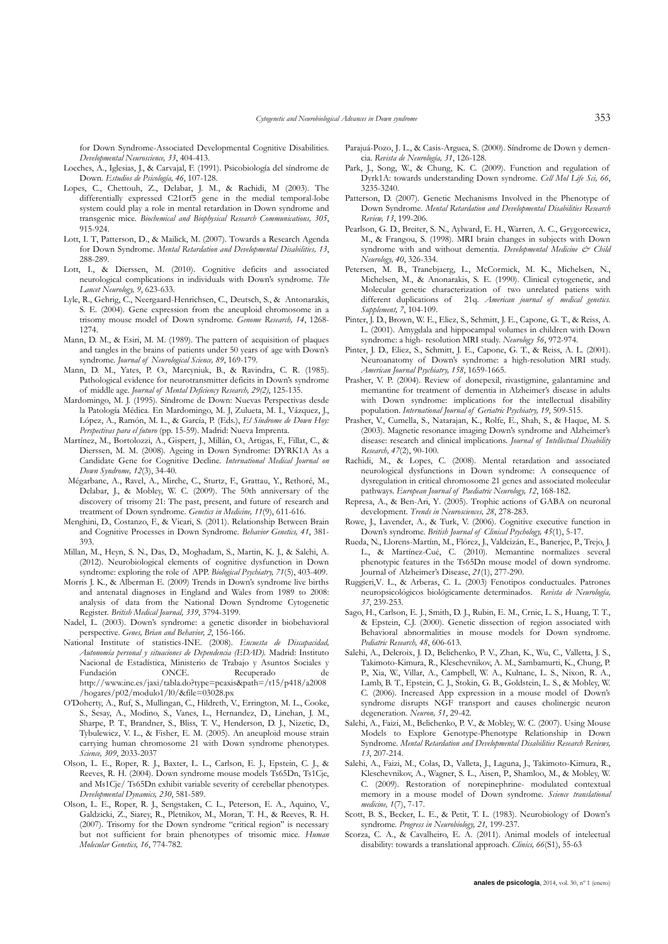for Down Syndrome-Associated Developmental Cognitive Disabilities. *Developmental Neuroscience, 33*, 404-413.

- Loeches, A., Iglesias, J., & Carvajal, F. (1991). Psicobiología del síndrome de Down. *Estudios de Psicología, 46*, 107-128.
- Lopes, C., Chettouh, Z., Delabar, J. M., & Rachidi, M (2003). The differentially expressed C21orf5 gene in the medial temporal-lobe system could play a role in mental retardation in Down syndrome and transgenic mice. *Biochemical and Biophysical Research Communications, 305*, 915-924.
- Lott, I. T, Patterson, D., & Mailick, M. (2007). Towards a Research Agenda for Down Syndrome. *Mental Retardation and Developmental Disabilities, 13*, 288-289.
- Lott, I., & Dierssen, M. (2010). Cognitive deficits and associated neurological complications in individuals with Down"s syndrome. *The Lancet Neurology, 9*, 623-633.
- Lyle, R., Gehrig, C., Neergaard-Henrichsen, C., Deutsch, S., & Antonarakis, S. E. (2004). Gene expression from the aneuploid chromosome in a trisomy mouse model of Down syndrome. *Genome Research, 14*, 1268- 1274.
- Mann, D. M., & Esiri, M. M. (1989). The pattern of acquisition of plaques and tangles in the brains of patients under 50 years of age with Down"s syndrome. *Journal of Neurological Science, 89*, 169-179.
- Mann, D. M., Yates, P. O., Marcyniuk, B., & Ravindra, C. R. (1985). Pathological evidence for neurotransmitter deficits in Down's syndrome of middle age. *Journal of Mental Deficiency Research, 29(2)*, 125-135.
- Mardomingo, M. J. (1995). Síndrome de Down: Nuevas Perspectivas desde la Patología Médica. En Mardomingo, M. J, Zulueta, M. I., Vázquez, J., López, A., Ramón, M. L., & García, P. (Eds.), *El Síndrome de Down Hoy: Perspectivas para el futuro* (pp. 15-59). Madrid: Nueva Imprenta.
- Martínez, M., Bortolozzi, A., Gispert, J., Millán, O., Artigas, F., Fillat, C., & Dierssen, M. M. (2008). Ageing in Down Syndrome: DYRK1A As a Candidate Gene for Cognitive Decline. *International Medical Journal on Down Syndrome, 12*(3), 34-40.
- Mégarbane, A., Ravel, A., Mirche, C., Sturtz, F., Grattau, Y., Rethoré, M., Delabar, J., & Mobley, W. C. (2009). The 50th anniversary of the discovery of trisomy 21: The past, present, and future of research and treatment of Down syndrome*. Genetics in Medicine, 11*(9), 611-616.
- Menghini, D., Costanzo, F., & Vicari, S. (2011). Relationship Between Brain and Cognitive Processes in Down Syndrome. *Behavior Genetics, 41*, 381- 393.
- Millan, M., Heyn, S. N., Das, D., Moghadam, S., Martin, K. J., & Salehi, A. (2012). Neurobiological elements of cognitive dysfunction in Down syndrome: exploring the role of APP. *Biological Psychiatry, 71*(5), 403-409.
- Morris J. K., & Alberman E. (2009) Trends in Down"s syndrome live births and antenatal diagnoses in England and Wales from 1989 to 2008: analysis of data from the National Down Syndrome Cytogenetic Register. *British Medical Journal, 339*, 3794-3199.
- Nadel, L. (2003). Down"s syndrome: a genetic disorder in biobehavioral perspective. *Genes, Brian and Behavior, 2*, 156-166.
- National Institute of statistics-INE. (2008). *Encuesta de Discapacidad, Autonomía personal y situaciones de Dependencia (EDAD).* Madrid: Instituto Nacional de Estadística, Ministerio de Trabajo y Asuntos Sociales y Fundación ONCE. Recuperado http://www.ine.es/jaxi/tabla.do?type=pcaxis&path=/t15/p418/a2008 /hogares/p02/modulo1/l0/&file=03028.px
- O"Doherty, A., Ruf, S., Mullingan, C., Hildreth, V., Errington, M. L., Cooke, S., Sesay, A., Modino, S., Vanes, L., Hernandez, D., Linehan, J. M., Sharpe, P. T., Brandner, S., Bliss, T. V., Henderson, D. J., Nizetic, D., Tybulewicz, V. L., & Fisher, E. M. (2005). An aneuploid mouse strain carrying human chromosome 21 with Down syndrome phenotypes. *Science, 309*, 2033-2037
- Olson, L. E., Roper, R. J., Baxter, L. L., Carlson, E. J., Epstein, C. J., & Reeves, R. H. (2004). Down syndrome mouse models Ts65Dn, Ts1Cje, and Ms1Cje/ Ts65Dn exhibit variable severity of cerebellar phenotypes. *Developmental Dynamics, 230*, 581-589.
- Olson, L. E., Roper, R. J., Sengstaken, C. L., Peterson, E. A., Aquino, V., Galdzicki, Z., Siarey, R., Pletnikov, M., Moran, T. H., & Reeves, R. H. (2007). Trisomy for the Down syndrome "critical region" is necessary but not sufficient for brain phenotypes of trisomic mice. *Human Molecular Genetics, 16*, 774-782.
- Parajuá-Pozo, J. L., & Casis-Arguea, S. (2000). Síndrome de Down y demencia. *Revista de Neurología, 31*, 126-128.
- Park, J., Song, W., & Chung, K. C. (2009). Function and regulation of Dyrk1A: towards understanding Down syndrome. *Cell Mol Life Sci, 66*, 3235-3240.
- Patterson, D. (2007). Genetic Mechanisms Involved in the Phenotype of Down Syndrome. *Mental Retardation and Developmental Disabilities Research Review, 13*, 199-206.
- Pearlson, G. D., Breiter, S. N., Aylward, E. H., Warren, A. C., Grygorcewicz, M., & Frangou, S. (1998). MRI brain changes in subjects with Down syndrome with and without dementia. *Developmental Medicine & Child Neurology, 40*, 326-334.
- Petersen, M. B., Tranebjaerg, L., McCormick, M. K., Michelsen, N., Michelsen, M., & Anonarakis, S. E. (1990). Clinical cytogenetic, and Molecular genetic characterization of two unrelated patiens with different duplications of 21q. *American journal of medical genetics. Supplement, 7*, 104-109.
- Pinter, J. D., Brown, W. E., Eliez, S., Schmitt, J. E., Capone, G. T., & Reiss, A. L. (2001). Amygdala and hippocampal volumes in children with Down syndrome: a high- resolution MRI study. *Neurology 56*, 972-974.
- Pinter, J. D., Eliez, S., Schmitt, J. E., Capone, G. T., & Reiss, A. L. (2001). Neuroanatomy of Down"s syndrome: a high-resolution MRI study. *American Journal Psychiatry, 158*, 1659-1665.
- Prasher, V. P. (2004). Review of donepexil, rivastigmine, galantamine and memantine for treatment of dementia in Alzheimer's disease in adults with Down syndrome: implications for the intellectual disability population. *International Journal of Geriatric Psychiatry, 19*, 509-515.
- Prasher, V., Cumella, S., Natarajan, K., Rolfe, E., Shah, S., & Haque, M. S. (2003). Magnetic resonance imaging Down's syndrome and Alzheimer's disease: research and clinical implications. *Journal of Intellectual Disability Research, 47*(2), 90-100.
- Rachidi, M., & Lopes, C. (2008). Mental retardation and associated neurological dysfunctions in Down syndrome: A consequence of dysregulation in critical chromosome 21 genes and associated molecular pathways. *European Journal of Paediatric Neurology, 12*, 168-182.
- Represa, A., & Ben-Ari, Y. (2005). Trophic actions of GABA on neuronal development. *Trends in Neurosciences, 28*, 278-283.
- Rowe, J., Lavender, A., & Turk, V. (2006). Cognitive executive function in Down"s syndrome. *British Journal of Clinical Psychology, 45*(1), 5-17.
- Rueda, N., Llorens-Martíın, M., Flórez, J., Valdeizán, E., Banerjee, P., Trejo, J. L., & Martínez-Cué, C. (2010). Memantine normalizes several phenotypic features in the Ts65Dn mouse model of down syndrome. Journal of Alzheimer"s Disease, *21*(1), 277-290.
- Ruggieri,V. L., & Arberas, C. L. (2003) Fenotipos conductuales. Patrones neuropsicológicos biológicamente determinados. *Revista de Neurología, 37*, 239-253.
- Sago, H., Carlson, E. J., Smith, D. J., Rubin, E. M., Crnic, L. S., Huang, T. T., & Epstein, C.J. (2000). Genetic dissection of region associated with Behavioral abnormalities in mouse models for Down syndrome. *Pediatric Research, 48*, 606-613.
- Salehi, A., Delcroix, J. D., Belichenko, P. V., Zhan, K., Wu, C., Valletta, J. S., Takimoto-Kimura, R., Kleschevnikov, A. M., Sambamurti, K., Chung, P. P., Xia, W., Villar, A., Campbell, W. A., Kulnane, L. S., Nixon, R. A., Lamb, B. T., Epstein, C. J., Stokin, G. B., Goldstein, L. S., & Mobley, W. C. (2006). Increased App expression in a mouse model of Down"s syndrome disrupts NGF transport and causes cholinergic neuron degeneration. *Neuron, 51*, 29-42.
- Salehi, A., Faizi, M., Belichenko, P. V., & Mobley, W. C. (2007). Using Mouse Models to Explore Genotype-Phenotype Relationship in Down Syndrome. *Mental Retardation and Developmental Disabilities Research Reviews, 13*, 207-214.
- Salehi, A., Faizi, M., Colas, D., Valleta, J., Laguna, J., Takimoto-Kimura, R., Kleschevnikov, A., Wagner, S. L., Aisen, P., Shamloo, M., & Mobley, W. C. (2009). Restoration of norepinephrine- modulated contextual memory in a mouse model of Down syndrome. *Science translational medicine, 1*(7), 7-17.
- Scott, B. S., Becker, L. E., & Petit, T. L. (1983). Neurobiology of Down's syndrome. *Progress in Neurobiology, 21,* 199-237.
- Scorza, C. A., & Cavalheiro, E. A. (2011). Animal models of intelectual disability: towards a translational approach. *Clinics, 66*(S1), 55-63